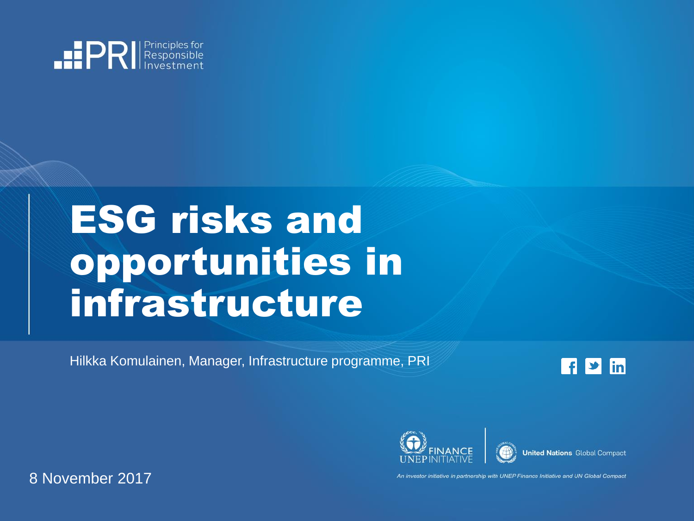

# ESG risks and opportunities in infrastructure

Hilkka Komulainen, Manager, Infrastructure programme, PRI

l f  $\blacktriangleright$  in



An investor initiative in partnership with UNEP Finance Initiative and UN Global Compact

8 November 2017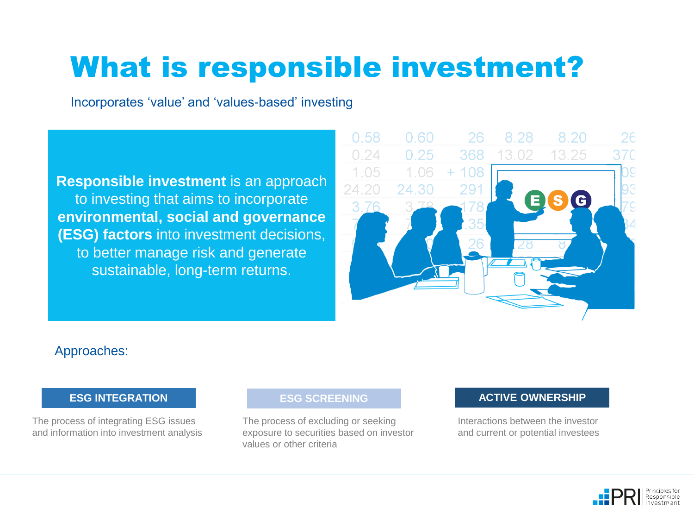# What is responsible investment?

Incorporates 'value' and 'values-based' investing

**Responsible investment** is an approach to investing that aims to incorporate **environmental, social and governance (ESG) factors** into investment decisions, to better manage risk and generate sustainable, long-term returns.



#### Approaches:

The process of integrating ESG issues and information into investment analysis

#### **ESG SCREENING**

The process of excluding or seeking exposure to securities based on investor values or other criteria

#### **ESG INTEGRATION CONSIDERED ACTIVE OWNERSHIP**

Interactions between the investor and current or potential investees

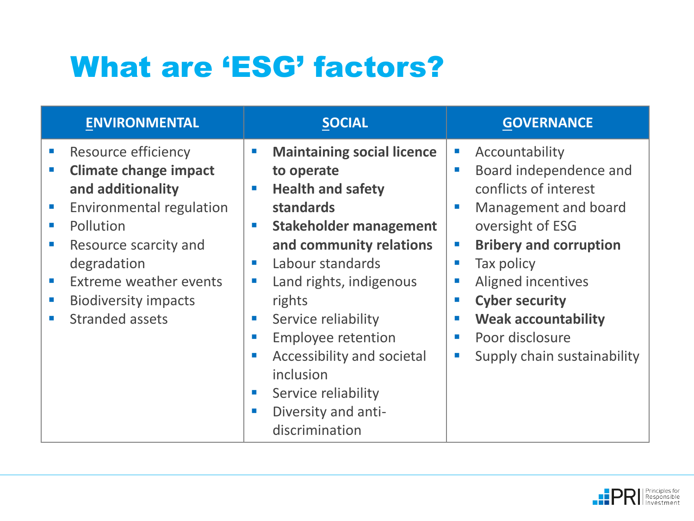# What are 'ESG' factors?

| <b>ENVIRONMENTAL</b>                                                                                                                                                                                                                                                                                                                                                                              | <b>SOCIAL</b>                                                                                                                                                                                                                                                                                                                                                                                                                                                                                                                                                                                                           | <b>GOVERNANCE</b>                                                                                                                                                                                                                                                                                                                                                                     |
|---------------------------------------------------------------------------------------------------------------------------------------------------------------------------------------------------------------------------------------------------------------------------------------------------------------------------------------------------------------------------------------------------|-------------------------------------------------------------------------------------------------------------------------------------------------------------------------------------------------------------------------------------------------------------------------------------------------------------------------------------------------------------------------------------------------------------------------------------------------------------------------------------------------------------------------------------------------------------------------------------------------------------------------|---------------------------------------------------------------------------------------------------------------------------------------------------------------------------------------------------------------------------------------------------------------------------------------------------------------------------------------------------------------------------------------|
| Resource efficiency<br>$\mathcal{L}_{\mathcal{A}}$<br><b>Climate change impact</b><br>and additionality<br><b>Environmental regulation</b><br>Pollution<br>$\mathcal{L}_{\mathcal{A}}$<br>Resource scarcity and<br>$\mathcal{C}$<br>degradation<br>Extreme weather events<br>$\mathcal{L}_{\mathrm{eff}}$<br><b>Biodiversity impacts</b><br>$\mathcal{L}_{\mathcal{A}}$<br><b>Stranded assets</b> | <b>Maintaining social licence</b><br>$\mathcal{C}$<br>to operate<br><b>Health and safety</b><br>$\mathcal{L}_{\mathcal{A}}$<br>standards<br><b>Stakeholder management</b><br>$\mathcal{L}_{\mathcal{A}}$<br>and community relations<br>Labour standards<br><b>College</b><br>Land rights, indigenous<br>$\mathcal{L}_{\mathcal{A}}$<br>rights<br>Service reliability<br>$\sim$<br><b>Employee retention</b><br>$\mathcal{L}_{\mathcal{A}}$<br>Accessibility and societal<br>$\mathcal{L}_{\mathcal{A}}$<br>inclusion<br>Service reliability<br><b>CONTRACTOR</b><br>Diversity and anti-<br><b>COL</b><br>discrimination | Accountability<br>o,<br>Board independence and<br>conflicts of interest<br>Management and board<br>$\mathcal{L}_{\mathcal{A}}$<br>oversight of ESG<br><b>Bribery and corruption</b><br>$\mathcal{C}$<br>Tax policy<br>Aligned incentives<br>$\mathcal{L}_{\mathcal{A}}$<br><b>Cyber security</b><br>п<br><b>Weak accountability</b><br>Poor disclosure<br>Supply chain sustainability |

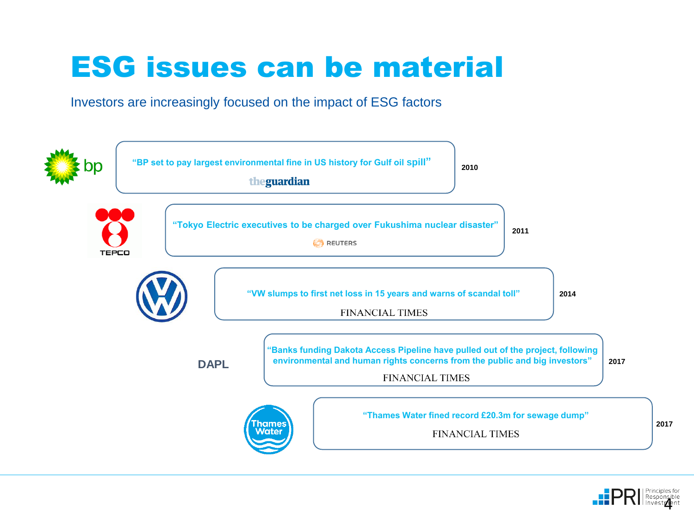## ESG issues can be material

Investors are increasingly focused on the impact of ESG factors



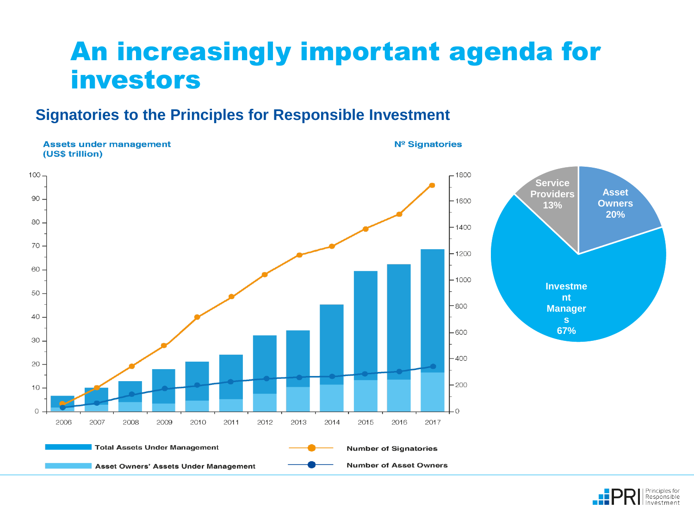### An increasingly important agenda for investors

### **Signatories to the Principles for Responsible Investment**



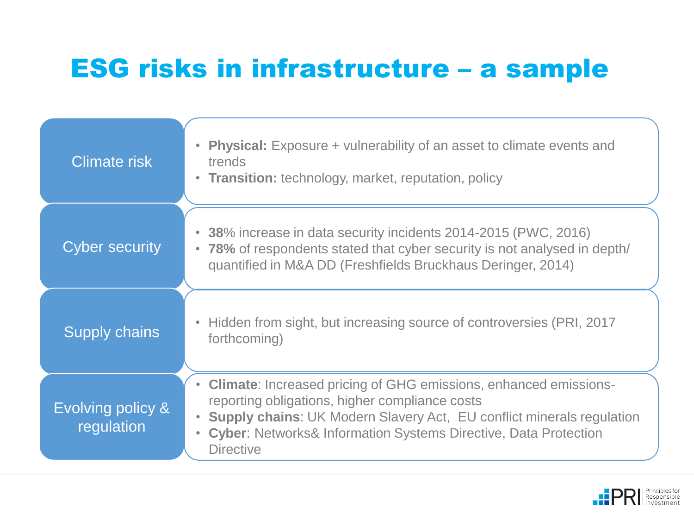### ESG risks in infrastructure – a sample

| <b>Climate risk</b>             | <b>Physical:</b> Exposure + vulnerability of an asset to climate events and<br>trends<br>• Transition: technology, market, reputation, policy                                                                                                                                                          |
|---------------------------------|--------------------------------------------------------------------------------------------------------------------------------------------------------------------------------------------------------------------------------------------------------------------------------------------------------|
| <b>Cyber security</b>           | • 38% increase in data security incidents 2014-2015 (PWC, 2016)<br>• 78% of respondents stated that cyber security is not analysed in depth/<br>quantified in M&A DD (Freshfields Bruckhaus Deringer, 2014)                                                                                            |
| <b>Supply chains</b>            | • Hidden from sight, but increasing source of controversies (PRI, 2017<br>forthcoming)                                                                                                                                                                                                                 |
| Evolving policy &<br>regulation | • Climate: Increased pricing of GHG emissions, enhanced emissions-<br>reporting obligations, higher compliance costs<br><b>Supply chains: UK Modern Slavery Act, EU conflict minerals regulation</b><br><b>Cyber: Networks&amp; Information Systems Directive, Data Protection</b><br><b>Directive</b> |